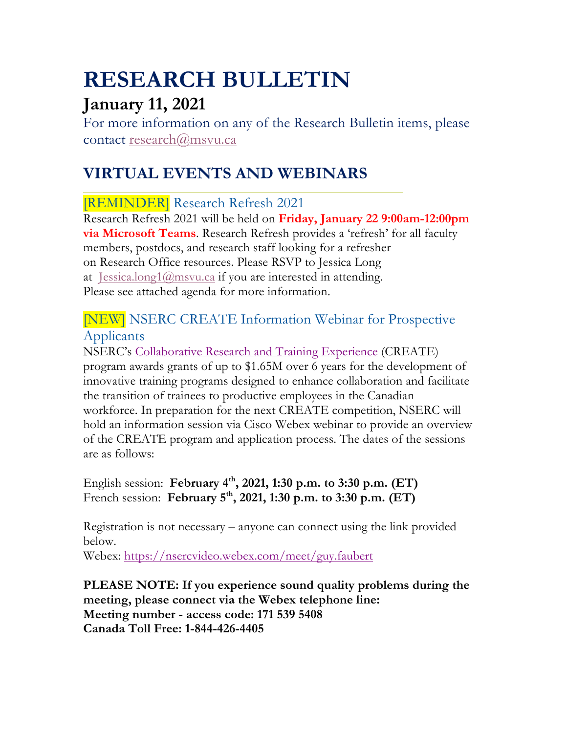# **RESEARCH BULLETIN**

## **January 11, 2021**

For more information on any of the Research Bulletin items, please contact research@msvu.ca

## **VIRTUAL EVENTS AND WEBINARS**

## [REMINDER] Research Refresh 2021

Research Refresh 2021 will be held on **Friday, January 22 9:00am-12:00pm via Microsoft Teams**. Research Refresh provides a 'refresh' for all faculty members, postdocs, and research staff looking for a refresher on Research Office resources. Please RSVP to Jessica Long at Jessica.long1@msvu.ca if you are interested in attending. Please see attached agenda for more information.

## [NEW] NSERC CREATE Information Webinar for Prospective Applicants

NSERC's Collaborative Research and Training Experience (CREATE) program awards grants of up to \$1.65M over 6 years for the development of innovative training programs designed to enhance collaboration and facilitate the transition of trainees to productive employees in the Canadian workforce. In preparation for the next CREATE competition, NSERC will hold an information session via Cisco Webex webinar to provide an overview of the CREATE program and application process. The dates of the sessions are as follows:

English session: **February 4th, 2021, 1:30 p.m. to 3:30 p.m. (ET)** French session: **February 5th, 2021, 1:30 p.m. to 3:30 p.m. (ET)**

Registration is not necessary – anyone can connect using the link provided below.

Webex: https://nsercvideo.webex.com/meet/guy.faubert

**PLEASE NOTE: If you experience sound quality problems during the meeting, please connect via the Webex telephone line: Meeting number - access code: 171 539 5408 Canada Toll Free: 1-844-426-4405**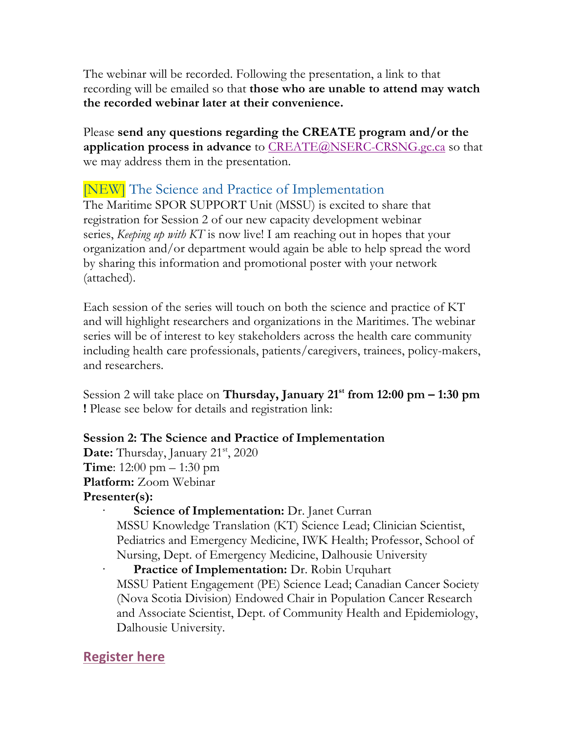The webinar will be recorded. Following the presentation, a link to that recording will be emailed so that **those who are unable to attend may watch the recorded webinar later at their convenience.**

Please **send any questions regarding the CREATE program and/or the application process in advance** to CREATE@NSERC-CRSNG.gc.ca so that we may address them in the presentation.

## [NEW] The Science and Practice of Implementation

The Maritime SPOR SUPPORT Unit (MSSU) is excited to share that registration for Session 2 of our new capacity development webinar series, *Keeping up with KT* is now live! I am reaching out in hopes that your organization and/or department would again be able to help spread the word by sharing this information and promotional poster with your network (attached).

Each session of the series will touch on both the science and practice of KT and will highlight researchers and organizations in the Maritimes. The webinar series will be of interest to key stakeholders across the health care community including health care professionals, patients/caregivers, trainees, policy-makers, and researchers.

Session 2 will take place on **Thursday, January 21st from 12:00 pm – 1:30 pm !** Please see below for details and registration link:

#### **Session 2: The Science and Practice of Implementation**

**Date:** Thursday, January 21<sup>st</sup>, 2020 **Time**: 12:00 pm – 1:30 pm **Platform:** Zoom Webinar **Presenter(s):**

**Science of Implementation:** Dr. Janet Curran MSSU Knowledge Translation (KT) Science Lead; Clinician Scientist, Pediatrics and Emergency Medicine, IWK Health; Professor, School of Nursing, Dept. of Emergency Medicine, Dalhousie University

**Practice of Implementation:** Dr. Robin Urquhart MSSU Patient Engagement (PE) Science Lead; Canadian Cancer Society (Nova Scotia Division) Endowed Chair in Population Cancer Research and Associate Scientist, Dept. of Community Health and Epidemiology, Dalhousie University.

### **Register here**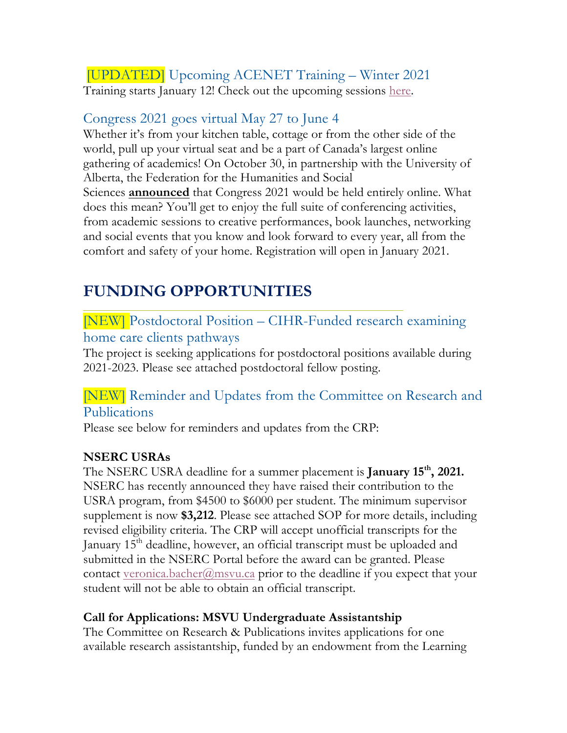#### [UPDATED] Upcoming ACENET Training – Winter 2021 Training starts January 12! Check out the upcoming sessions here.

## Congress 2021 goes virtual May 27 to June 4

Whether it's from your kitchen table, cottage or from the other side of the world, pull up your virtual seat and be a part of Canada's largest online gathering of academics! On October 30, in partnership with the University of Alberta, the Federation for the Humanities and Social Sciences **announced** that Congress 2021 would be held entirely online. What does this mean? You'll get to enjoy the full suite of conferencing activities, from academic sessions to creative performances, book launches, networking and social events that you know and look forward to every year, all from the comfort and safety of your home. Registration will open in January 2021.

## **FUNDING OPPORTUNITIES**

### [NEW] Postdoctoral Position – CIHR-Funded research examining home care clients pathways

The project is seeking applications for postdoctoral positions available during 2021-2023. Please see attached postdoctoral fellow posting.

## [NEW] Reminder and Updates from the Committee on Research and Publications

Please see below for reminders and updates from the CRP:

#### **NSERC USRAs**

The NSERC USRA deadline for a summer placement is **January 15th, 2021.** NSERC has recently announced they have raised their contribution to the USRA program, from \$4500 to \$6000 per student. The minimum supervisor supplement is now **\$3,212**. Please see attached SOP for more details, including revised eligibility criteria. The CRP will accept unofficial transcripts for the January 15<sup>th</sup> deadline, however, an official transcript must be uploaded and submitted in the NSERC Portal before the award can be granted. Please contact veronica.bacher@msvu.ca prior to the deadline if you expect that your student will not be able to obtain an official transcript.

#### **Call for Applications: MSVU Undergraduate Assistantship**

The Committee on Research & Publications invites applications for one available research assistantship, funded by an endowment from the Learning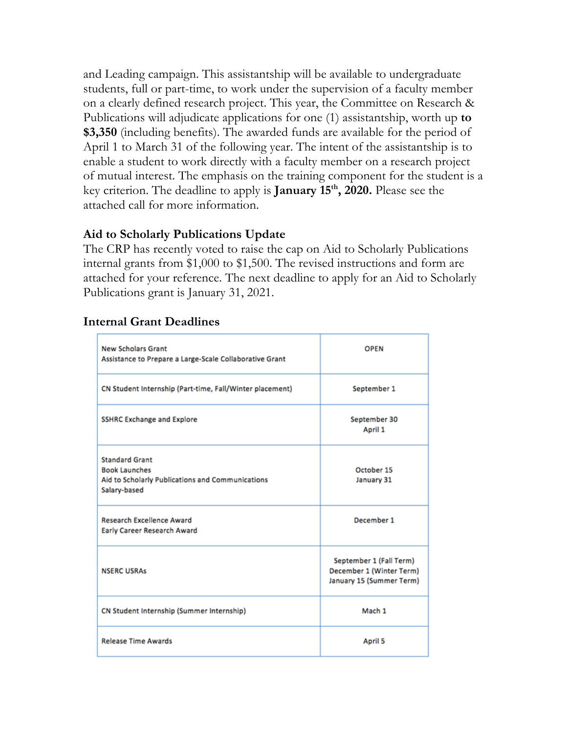and Leading campaign. This assistantship will be available to undergraduate students, full or part-time, to work under the supervision of a faculty member on a clearly defined research project. This year, the Committee on Research & Publications will adjudicate applications for one (1) assistantship, worth up **to \$3,350** (including benefits). The awarded funds are available for the period of April 1 to March 31 of the following year. The intent of the assistantship is to enable a student to work directly with a faculty member on a research project of mutual interest. The emphasis on the training component for the student is a key criterion. The deadline to apply is **January 15th, 2020.** Please see the attached call for more information.

#### **Aid to Scholarly Publications Update**

The CRP has recently voted to raise the cap on Aid to Scholarly Publications internal grants from \$1,000 to \$1,500. The revised instructions and form are attached for your reference. The next deadline to apply for an Aid to Scholarly Publications grant is January 31, 2021.

| <b>New Scholars Grant</b><br>Assistance to Prepare a Large-Scale Collaborative Grant                              | <b>OPEN</b>                                                                     |
|-------------------------------------------------------------------------------------------------------------------|---------------------------------------------------------------------------------|
| CN Student Internship (Part-time, Fall/Winter placement)                                                          | September 1                                                                     |
| <b>SSHRC Exchange and Explore</b>                                                                                 | September 30<br>April 1                                                         |
| <b>Standard Grant</b><br><b>Book Launches</b><br>Aid to Scholarly Publications and Communications<br>Salary-based | October 15<br>January 31                                                        |
| <b>Research Excellence Award</b><br>Early Career Research Award                                                   | December 1                                                                      |
| <b>NSERC USRAs</b>                                                                                                | September 1 (Fall Term)<br>December 1 (Winter Term)<br>January 15 (Summer Term) |
| CN Student Internship (Summer Internship)                                                                         | Mach 1                                                                          |
| <b>Release Time Awards</b>                                                                                        | <b>April 5</b>                                                                  |

#### **Internal Grant Deadlines**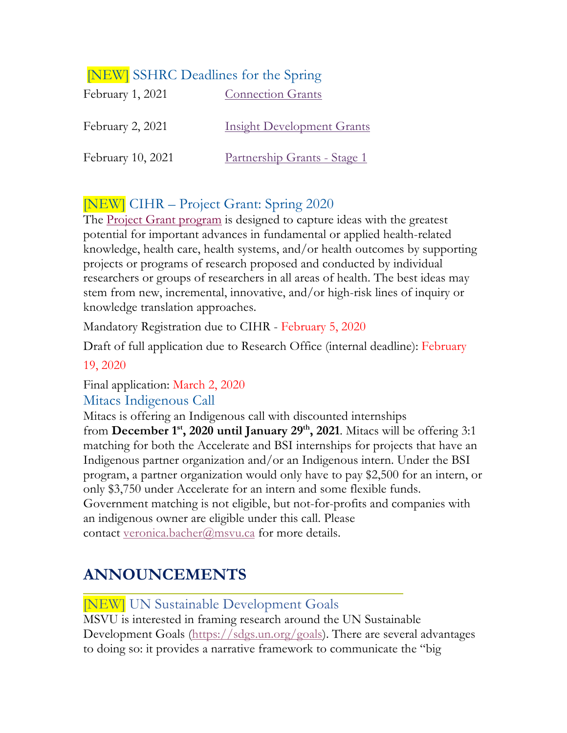| <b>NEW</b> SSHRC Deadlines for the Spring |                                     |
|-------------------------------------------|-------------------------------------|
| February 1, 2021                          | <b>Connection Grants</b>            |
| February 2, 2021                          | <b>Insight Development Grants</b>   |
| February 10, 2021                         | <u>Partnership Grants - Stage 1</u> |

## [NEW] CIHR – Project Grant: Spring 2020

The Project Grant program is designed to capture ideas with the greatest potential for important advances in fundamental or applied health-related knowledge, health care, health systems, and/or health outcomes by supporting projects or programs of research proposed and conducted by individual researchers or groups of researchers in all areas of health. The best ideas may stem from new, incremental, innovative, and/or high-risk lines of inquiry or knowledge translation approaches.

Mandatory Registration due to CIHR - February 5, 2020

Draft of full application due to Research Office (internal deadline): February

#### 19, 2020

Final application: March 2, 2020

#### Mitacs Indigenous Call

Mitacs is offering an Indigenous call with discounted internships from **December 1st, 2020 until January 29th, 2021**. Mitacs will be offering 3:1 matching for both the Accelerate and BSI internships for projects that have an Indigenous partner organization and/or an Indigenous intern. Under the BSI program, a partner organization would only have to pay \$2,500 for an intern, or only \$3,750 under Accelerate for an intern and some flexible funds. Government matching is not eligible, but not-for-profits and companies with an indigenous owner are eligible under this call. Please contact veronica.bacher@msvu.ca for more details.

## **ANNOUNCEMENTS**

[NEW] UN Sustainable Development Goals

MSVU is interested in framing research around the UN Sustainable Development Goals (https://sdgs.un.org/goals). There are several advantages to doing so: it provides a narrative framework to communicate the "big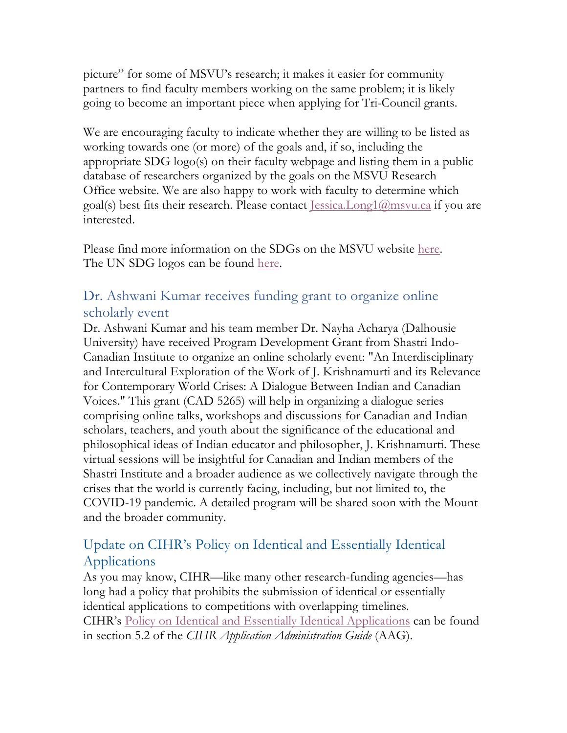picture" for some of MSVU's research; it makes it easier for community partners to find faculty members working on the same problem; it is likely going to become an important piece when applying for Tri-Council grants.

We are encouraging faculty to indicate whether they are willing to be listed as working towards one (or more) of the goals and, if so, including the appropriate SDG logo(s) on their faculty webpage and listing them in a public database of researchers organized by the goals on the MSVU Research Office website. We are also happy to work with faculty to determine which goal(s) best fits their research. Please contact Jessica.Long1@msvu.ca if you are interested.

Please find more information on the SDGs on the MSVU website here. The UN SDG logos can be found <u>here</u>.

### Dr. Ashwani Kumar receives funding grant to organize online scholarly event

Dr. Ashwani Kumar and his team member Dr. Nayha Acharya (Dalhousie University) have received Program Development Grant from Shastri Indo-Canadian Institute to organize an online scholarly event: "An Interdisciplinary and Intercultural Exploration of the Work of J. Krishnamurti and its Relevance for Contemporary World Crises: A Dialogue Between Indian and Canadian Voices." This grant (CAD 5265) will help in organizing a dialogue series comprising online talks, workshops and discussions for Canadian and Indian scholars, teachers, and youth about the significance of the educational and philosophical ideas of Indian educator and philosopher, J. Krishnamurti. These virtual sessions will be insightful for Canadian and Indian members of the Shastri Institute and a broader audience as we collectively navigate through the crises that the world is currently facing, including, but not limited to, the COVID-19 pandemic. A detailed program will be shared soon with the Mount and the broader community.

## Update on CIHR's Policy on Identical and Essentially Identical Applications

As you may know, CIHR—like many other research-funding agencies—has long had a policy that prohibits the submission of identical or essentially identical applications to competitions with overlapping timelines. CIHR's Policy on Identical and Essentially Identical Applications can be found in section 5.2 of the *CIHR Application Administration Guide* (AAG).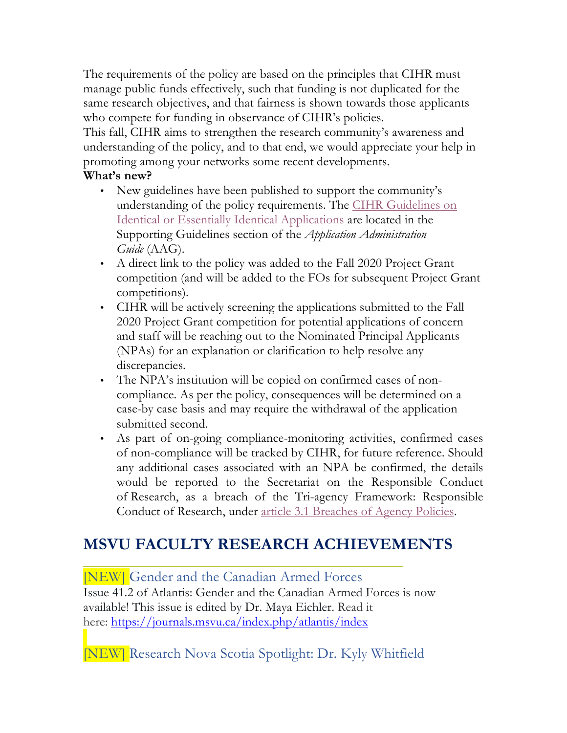The requirements of the policy are based on the principles that CIHR must manage public funds effectively, such that funding is not duplicated for the same research objectives, and that fairness is shown towards those applicants who compete for funding in observance of CIHR's policies.

This fall, CIHR aims to strengthen the research community's awareness and understanding of the policy, and to that end, we would appreciate your help in promoting among your networks some recent developments.

#### **What's new?**

- New guidelines have been published to support the community's understanding of the policy requirements. The CIHR Guidelines on Identical or Essentially Identical Applications are located in the Supporting Guidelines section of the *Application Administration Guide* (AAG).
- A direct link to the policy was added to the Fall 2020 Project Grant competition (and will be added to the FOs for subsequent Project Grant competitions).
- CIHR will be actively screening the applications submitted to the Fall 2020 Project Grant competition for potential applications of concern and staff will be reaching out to the Nominated Principal Applicants (NPAs) for an explanation or clarification to help resolve any discrepancies.
- The NPA's institution will be copied on confirmed cases of noncompliance. As per the policy, consequences will be determined on a case-by case basis and may require the withdrawal of the application submitted second.
- As part of on-going compliance-monitoring activities, confirmed cases of non-compliance will be tracked by CIHR, for future reference. Should any additional cases associated with an NPA be confirmed, the details would be reported to the Secretariat on the Responsible Conduct of Research, as a breach of the Tri-agency Framework: Responsible Conduct of Research, under article 3.1 Breaches of Agency Policies.

## **MSVU FACULTY RESEARCH ACHIEVEMENTS**

[NEW] Gender and the Canadian Armed Forces Issue 41.2 of Atlantis: Gender and the Canadian Armed Forces is now available! This issue is edited by Dr. Maya Eichler. Read it here: https://journals.msvu.ca/index.php/atlantis/index

[NEW] Research Nova Scotia Spotlight: Dr. Kyly Whitfield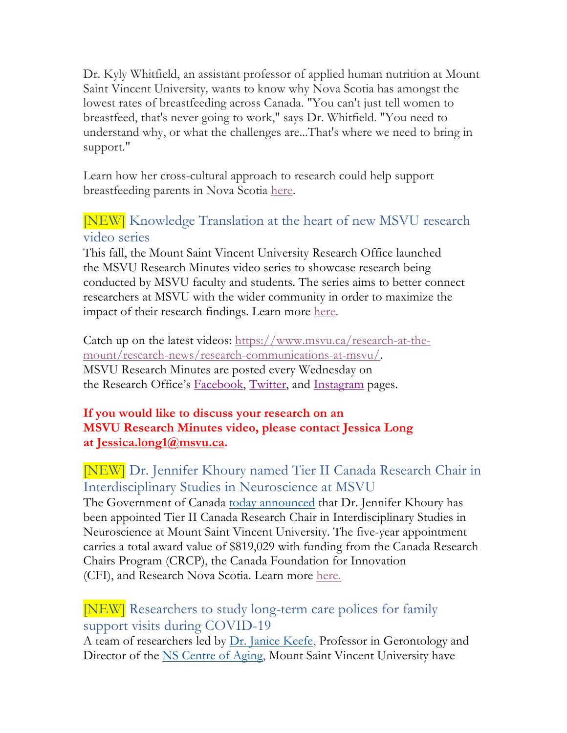Dr. Kyly Whitfield, an assistant professor of applied human nutrition at Mount Saint Vincent University*,* wants to know why Nova Scotia has amongst the lowest rates of breastfeeding across Canada. "You can't just tell women to breastfeed, that's never going to work," says Dr. Whitfield. "You need to understand why, or what the challenges are...That's where we need to bring in support."

Learn how her cross-cultural approach to research could help support breastfeeding parents in Nova Scotia here.

## [NEW] Knowledge Translation at the heart of new MSVU research video series

This fall, the Mount Saint Vincent University Research Office launched the MSVU Research Minutes video series to showcase research being conducted by MSVU faculty and students. The series aims to better connect researchers at MSVU with the wider community in order to maximize the impact of their research findings. Learn more here.

Catch up on the latest videos: https://www.msvu.ca/research-at-themount/research-news/research-communications-at-msvu/. MSVU Research Minutes are posted every Wednesday on the Research Office's Facebook, Twitter, and Instagram pages.

#### **If you would like to discuss your research on an MSVU Research Minutes video, please contact Jessica Long at Jessica.long1@msvu.ca.**

[NEW] Dr. Jennifer Khoury named Tier II Canada Research Chair in Interdisciplinary Studies in Neuroscience at MSVU The Government of Canada today announced that Dr. Jennifer Khoury has been appointed Tier II Canada Research Chair in Interdisciplinary Studies in Neuroscience at Mount Saint Vincent University. The five-year appointment carries a total award value of \$819,029 with funding from the Canada Research Chairs Program (CRCP), the Canada Foundation for Innovation (CFI), and Research Nova Scotia. Learn more here.

### [NEW] Researchers to study long-term care polices for family support visits during COVID-19

A team of researchers led by Dr. Janice Keefe, Professor in Gerontology and Director of the NS Centre of Aging, Mount Saint Vincent University have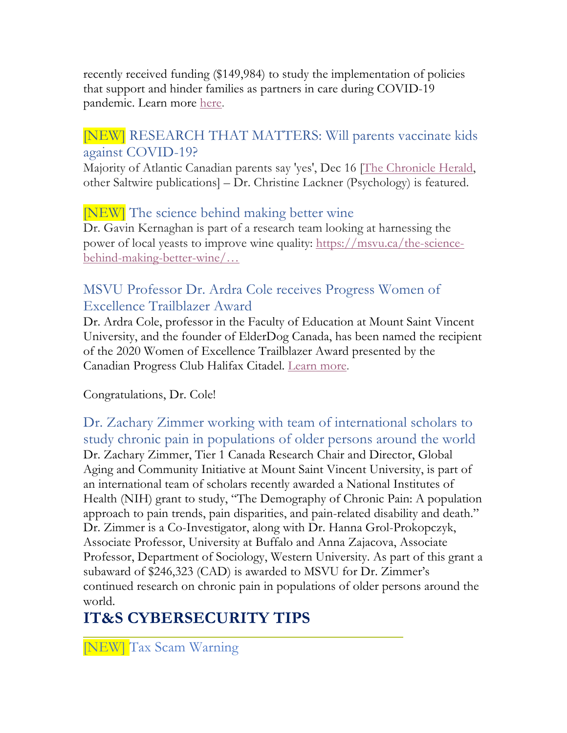recently received funding (\$149,984) to study the implementation of policies that support and hinder families as partners in care during COVID-19 pandemic. Learn more here.

## [NEW] RESEARCH THAT MATTERS: Will parents vaccinate kids against COVID-19?

Majority of Atlantic Canadian parents say 'yes', Dec 16 [The Chronicle Herald, other Saltwire publications] – Dr. Christine Lackner (Psychology) is featured.

## [NEW] The science behind making better wine

Dr. Gavin Kernaghan is part of a research team looking at harnessing the power of local yeasts to improve wine quality: https://msvu.ca/the-sciencebehind-making-better-wine/…

## MSVU Professor Dr. Ardra Cole receives Progress Women of Excellence Trailblazer Award

Dr. Ardra Cole, professor in the Faculty of Education at Mount Saint Vincent University, and the founder of ElderDog Canada, has been named the recipient of the 2020 Women of Excellence Trailblazer Award presented by the Canadian Progress Club Halifax Citadel. Learn more.

### Congratulations, Dr. Cole!

Dr. Zachary Zimmer working with team of international scholars to study chronic pain in populations of older persons around the world Dr. Zachary Zimmer, Tier 1 Canada Research Chair and Director, Global Aging and Community Initiative at Mount Saint Vincent University, is part of an international team of scholars recently awarded a National Institutes of Health (NIH) grant to study, "The Demography of Chronic Pain: A population approach to pain trends, pain disparities, and pain-related disability and death." Dr. Zimmer is a Co-Investigator, along with Dr. Hanna Grol-Prokopczyk, Associate Professor, University at Buffalo and Anna Zajacova, Associate Professor, Department of Sociology, Western University. As part of this grant a subaward of \$246,323 (CAD) is awarded to MSVU for Dr. Zimmer's continued research on chronic pain in populations of older persons around the world.

## **IT&S CYBERSECURITY TIPS**

[NEW] Tax Scam Warning